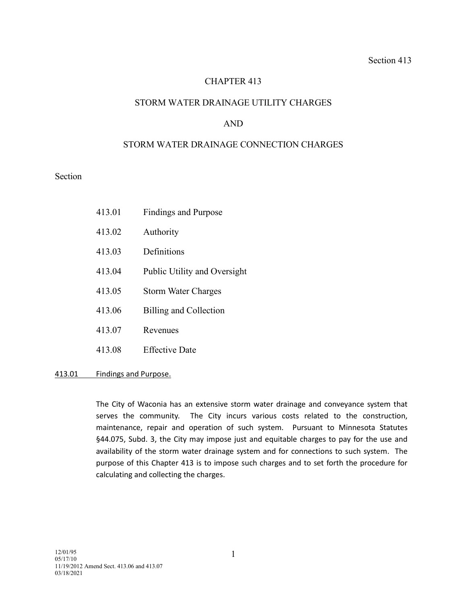# CHAPTER 413

## STORM WATER DRAINAGE UTILITY CHARGES

## AND

### STORM WATER DRAINAGE CONNECTION CHARGES

Section

| 413.01 | <b>Findings and Purpose</b> |
|--------|-----------------------------|
|        |                             |

- 413.02 Authority
- 413.03 Definitions
- 413.04 Public Utility and Oversight
- 413.05 Storm Water Charges
- 413.06 Billing and Collection
- 413.07 Revenues
- 413.08 Effective Date

#### 413.01 Findings and Purpose.

The City of Waconia has an extensive storm water drainage and conveyance system that serves the community. The City incurs various costs related to the construction, maintenance, repair and operation of such system. Pursuant to Minnesota Statutes §44.075, Subd. 3, the City may impose just and equitable charges to pay for the use and availability of the storm water drainage system and for connections to such system. The purpose of this Chapter 413 is to impose such charges and to set forth the procedure for calculating and collecting the charges.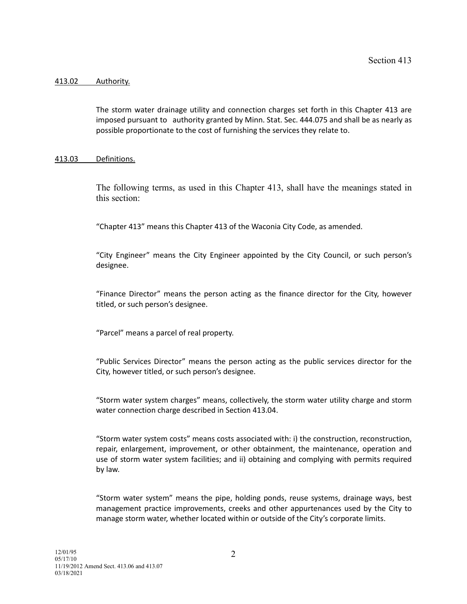#### 413.02 Authority.

The storm water drainage utility and connection charges set forth in this Chapter 413 are imposed pursuant to authority granted by Minn. Stat. Sec. 444.075 and shall be as nearly as possible proportionate to the cost of furnishing the services they relate to.

#### 413.03 Definitions.

The following terms, as used in this Chapter 413, shall have the meanings stated in this section:

"Chapter 413" means this Chapter 413 of the Waconia City Code, as amended.

"City Engineer" means the City Engineer appointed by the City Council, or such person's designee.

"Finance Director" means the person acting as the finance director for the City, however titled, or such person's designee.

"Parcel" means a parcel of real property.

"Public Services Director" means the person acting as the public services director for the City, however titled, or such person's designee.

"Storm water system charges" means, collectively, the storm water utility charge and storm water connection charge described in Section 413.04.

"Storm water system costs" means costs associated with: i) the construction, reconstruction, repair, enlargement, improvement, or other obtainment, the maintenance, operation and use of storm water system facilities; and ii) obtaining and complying with permits required by law.

"Storm water system" means the pipe, holding ponds, reuse systems, drainage ways, best management practice improvements, creeks and other appurtenances used by the City to manage storm water, whether located within or outside of the City's corporate limits.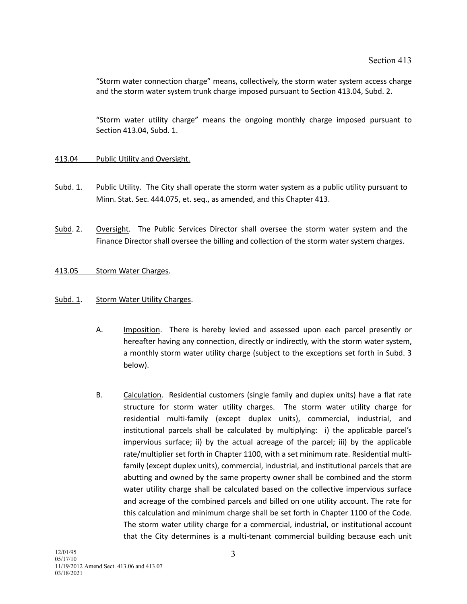"Storm water connection charge" means, collectively, the storm water system access charge and the storm water system trunk charge imposed pursuant to Section 413.04, Subd. 2.

"Storm water utility charge" means the ongoing monthly charge imposed pursuant to Section 413.04, Subd. 1.

#### 413.04 Public Utility and Oversight.

- Subd. 1. Public Utility. The City shall operate the storm water system as a public utility pursuant to Minn. Stat. Sec. 444.075, et. seq., as amended, and this Chapter 413.
- Subd. 2. Oversight. The Public Services Director shall oversee the storm water system and the Finance Director shall oversee the billing and collection of the storm water system charges.

### 413.05 Storm Water Charges.

### Subd. 1. Storm Water Utility Charges.

- A. Imposition. There is hereby levied and assessed upon each parcel presently or hereafter having any connection, directly or indirectly, with the storm water system, a monthly storm water utility charge (subject to the exceptions set forth in Subd. 3 below).
- B. Calculation. Residential customers (single family and duplex units) have a flat rate structure for storm water utility charges. The storm water utility charge for residential multi-family (except duplex units), commercial, industrial, and institutional parcels shall be calculated by multiplying: i) the applicable parcel's impervious surface; ii) by the actual acreage of the parcel; iii) by the applicable rate/multiplier set forth in Chapter 1100, with a set minimum rate. Residential multifamily (except duplex units), commercial, industrial, and institutional parcels that are abutting and owned by the same property owner shall be combined and the storm water utility charge shall be calculated based on the collective impervious surface and acreage of the combined parcels and billed on one utility account. The rate for this calculation and minimum charge shall be set forth in Chapter 1100 of the Code. The storm water utility charge for a commercial, industrial, or institutional account that the City determines is a multi-tenant commercial building because each unit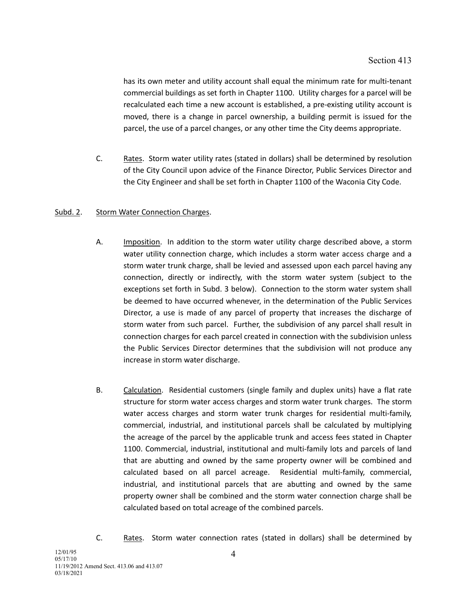has its own meter and utility account shall equal the minimum rate for multi-tenant commercial buildings as set forth in Chapter 1100. Utility charges for a parcel will be recalculated each time a new account is established, a pre-existing utility account is moved, there is a change in parcel ownership, a building permit is issued for the parcel, the use of a parcel changes, or any other time the City deems appropriate.

C. Rates. Storm water utility rates (stated in dollars) shall be determined by resolution of the City Council upon advice of the Finance Director, Public Services Director and the City Engineer and shall be set forth in Chapter 1100 of the Waconia City Code.

## Subd. 2. Storm Water Connection Charges.

- A. Imposition. In addition to the storm water utility charge described above, a storm water utility connection charge, which includes a storm water access charge and a storm water trunk charge, shall be levied and assessed upon each parcel having any connection, directly or indirectly, with the storm water system (subject to the exceptions set forth in Subd. 3 below). Connection to the storm water system shall be deemed to have occurred whenever, in the determination of the Public Services Director, a use is made of any parcel of property that increases the discharge of storm water from such parcel. Further, the subdivision of any parcel shall result in connection charges for each parcel created in connection with the subdivision unless the Public Services Director determines that the subdivision will not produce any increase in storm water discharge.
- B. Calculation. Residential customers (single family and duplex units) have a flat rate structure for storm water access charges and storm water trunk charges. The storm water access charges and storm water trunk charges for residential multi-family, commercial, industrial, and institutional parcels shall be calculated by multiplying the acreage of the parcel by the applicable trunk and access fees stated in Chapter 1100. Commercial, industrial, institutional and multi-family lots and parcels of land that are abutting and owned by the same property owner will be combined and calculated based on all parcel acreage. Residential multi-family, commercial, industrial, and institutional parcels that are abutting and owned by the same property owner shall be combined and the storm water connection charge shall be calculated based on total acreage of the combined parcels.
- C. Rates. Storm water connection rates (stated in dollars) shall be determined by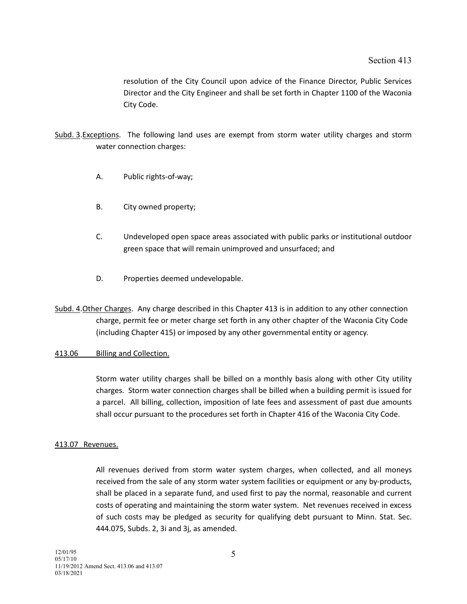resolution of the City Council upon advice of the Finance Director, Public Services Director and the City Engineer and shall be set forth in Chapter 1100 of the Waconia City Code.

- Subd. 3.Exceptions. The following land uses are exempt from storm water utility charges and storm water connection charges:
	- A. Public rights-of-way;
	- B. City owned property;
	- C. Undeveloped open space areas associated with public parks or institutional outdoor green space that will remain unimproved and unsurfaced; and
	- D. Properties deemed undevelopable.
- Subd. 4.Other Charges. Any charge described in this Chapter 413 is in addition to any other connection charge, permit fee or meter charge set forth in any other chapter of the Waconia City Code (including Chapter 415) or imposed by any other governmental entity or agency.

#### 413.06 Billing and Collection.

Storm water utility charges shall be billed on a monthly basis along with other City utility charges. Storm water connection charges shall be billed when a building permit is issued for a parcel. All billing, collection, imposition of late fees and assessment of past due amounts shall occur pursuant to the procedures set forth in Chapter 416 of the Waconia City Code.

### 413.07 Revenues.

All revenues derived from storm water system charges, when collected, and all moneys received from the sale of any storm water system facilities or equipment or any by-products, shall be placed in a separate fund, and used first to pay the normal, reasonable and current costs of operating and maintaining the storm water system. Net revenues received in excess of such costs may be pledged as security for qualifying debt pursuant to Minn. Stat. Sec. 444.075, Subds. 2, 3i and 3j, as amended.